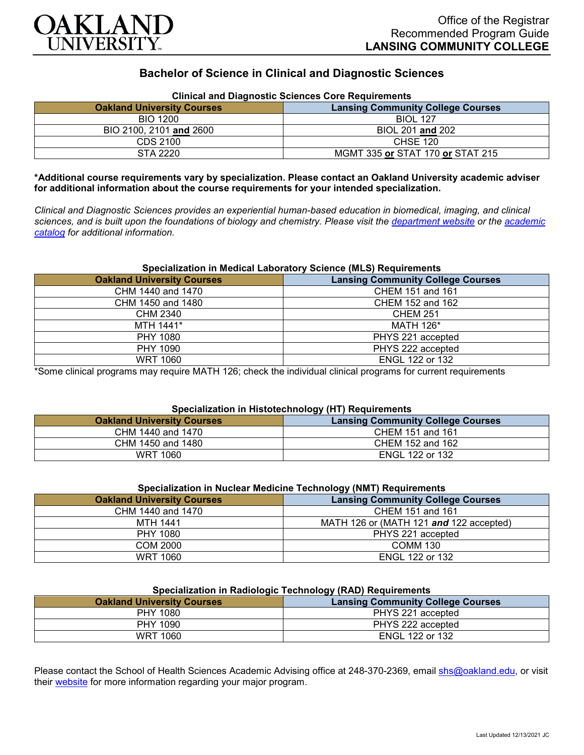

# **Bachelor of Science in Clinical and Diagnostic Sciences**

| Clinical and Diagnostic Sciences Core Requirements |                                          |
|----------------------------------------------------|------------------------------------------|
| <b>Oakland University Courses</b>                  | <b>Lansing Community College Courses</b> |
| <b>BIO 1200</b>                                    | <b>BIOL 127</b>                          |
| BIO 2100, 2101 and 2600                            | BIOL 201 and 202                         |
| CDS 2100                                           | CHSE 120                                 |
| STA 2220                                           | MGMT 335 or STAT 170 or STAT 215         |

# **Clinical and Diagnostic Sciences Core Requirements**

**\*Additional course requirements vary by specialization. Please contact an Oakland University academic adviser for additional information about the course requirements for your intended specialization.**

*Clinical and Diagnostic Sciences provides an experiential human-based education in biomedical, imaging, and clinical sciences, and is built upon the foundations of biology and chemistry. Please visit the [department website](https://www.oakland.edu/shs/clinical-and-diagnostic-sciences/) or the [academic](http://catalog.oakland.edu/preview_program.php?catoid=53&poid=8663)  [catalog](http://catalog.oakland.edu/preview_program.php?catoid=53&poid=8663) for additional information.*

### **Specialization in Medical Laboratory Science (MLS) Requirements**

| <b>Oakland University Courses</b> | <b>Lansing Community College Courses</b> |
|-----------------------------------|------------------------------------------|
| CHM 1440 and 1470                 | CHEM 151 and 161                         |
| CHM 1450 and 1480                 | CHEM 152 and 162                         |
| <b>CHM 2340</b>                   | <b>CHEM 251</b>                          |
| MTH 1441*                         | <b>MATH 126*</b>                         |
| PHY 1080                          | PHYS 221 accepted                        |
| PHY 1090                          | PHYS 222 accepted                        |
| <b>WRT 1060</b>                   | ENGL 122 or 132                          |

\*Some clinical programs may require MATH 126; check the individual clinical programs for current requirements

### **Specialization in Histotechnology (HT) Requirements**

| <b>Oakland University Courses</b> | <b>Lansing Community College Courses</b> |
|-----------------------------------|------------------------------------------|
| CHM 1440 and 1470                 | CHEM 151 and 161                         |
| CHM 1450 and 1480                 | CHEM 152 and 162                         |
| WRT 1060                          | <b>ENGL 122 or 132</b>                   |

| Specialization in Nuclear Medicine Technology (NMT) Requirements |                                          |
|------------------------------------------------------------------|------------------------------------------|
| <b>Oakland University Courses</b>                                | <b>Lansing Community College Courses</b> |
| CHM 1440 and 1470                                                | CHEM 151 and 161                         |
| <b>MTH 1441</b>                                                  | MATH 126 or (MATH 121 and 122 accepted)  |
| <b>PHY 1080</b>                                                  | PHYS 221 accepted                        |
| <b>COM 2000</b>                                                  | <b>COMM 130</b>                          |
| <b>WRT 1060</b>                                                  | <b>ENGL 122 or 132</b>                   |

#### **Specialization in Radiologic Technology (RAD) Requirements**

| <u>-promonent in name regiones and respect to the respect of the set of the set of the set of the set of the set of the set of the set of the set of the set of the set of the set of the set of the set of the set of the set o</u> |                                          |
|--------------------------------------------------------------------------------------------------------------------------------------------------------------------------------------------------------------------------------------|------------------------------------------|
| <b>Oakland University Courses</b>                                                                                                                                                                                                    | <b>Lansing Community College Courses</b> |
| PHY 1080                                                                                                                                                                                                                             | PHYS 221 accepted                        |
| PHY 1090                                                                                                                                                                                                                             | PHYS 222 accepted                        |
| <b>WRT 1060</b>                                                                                                                                                                                                                      | ENGL 122 or 132                          |

Please contact the School of Health Sciences Academic Advising office at 248-370-2369, email [shs@oakland.edu,](mailto:shs@oakland.edu) or visit their [website](http://www.oakland.edu/shs/advising) for more information regarding your major program.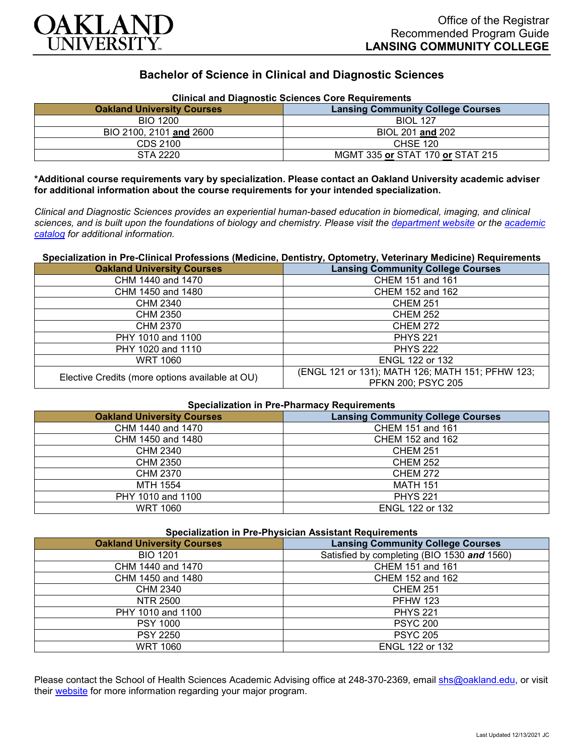

# **Bachelor of Science in Clinical and Diagnostic Sciences**

| <b>Clinical and Diagnostic Sciences Core Requirements</b> |                                          |
|-----------------------------------------------------------|------------------------------------------|
| <b>Oakland University Courses</b>                         | <b>Lansing Community College Courses</b> |
| <b>BIO 1200</b>                                           | <b>BIOL 127</b>                          |
| BIO 2100, 2101 and 2600                                   | BIOL 201 and 202                         |
| CDS 2100                                                  | <b>CHSE 120</b>                          |
| STA 2220                                                  | MGMT 335 or STAT 170 or STAT 215         |

**\*Additional course requirements vary by specialization. Please contact an Oakland University academic adviser for additional information about the course requirements for your intended specialization.**

*Clinical and Diagnostic Sciences provides an experiential human-based education in biomedical, imaging, and clinical sciences, and is built upon the foundations of biology and chemistry. Please visit the [department website](https://www.oakland.edu/shs/clinical-and-diagnostic-sciences/) or the [academic](http://catalog.oakland.edu/preview_program.php?catoid=53&poid=8663)  [catalog](http://catalog.oakland.edu/preview_program.php?catoid=53&poid=8663) for additional information.*

# **Specialization in Pre-Clinical Professions (Medicine, Dentistry, Optometry, Veterinary Medicine) Requirements**

| <b>Oakland University Courses</b>               | <b>Lansing Community College Courses</b>                                      |
|-------------------------------------------------|-------------------------------------------------------------------------------|
| CHM 1440 and 1470                               | CHEM 151 and 161                                                              |
| CHM 1450 and 1480                               | CHEM 152 and 162                                                              |
| <b>CHM 2340</b>                                 | <b>CHEM 251</b>                                                               |
| CHM 2350                                        | <b>CHEM 252</b>                                                               |
| CHM 2370                                        | <b>CHEM 272</b>                                                               |
| PHY 1010 and 1100                               | <b>PHYS 221</b>                                                               |
| PHY 1020 and 1110                               | <b>PHYS 222</b>                                                               |
| WRT 1060                                        | ENGL 122 or 132                                                               |
| Elective Credits (more options available at OU) | (ENGL 121 or 131); MATH 126; MATH 151; PFHW 123;<br><b>PFKN 200; PSYC 205</b> |

#### **Specialization in Pre-Pharmacy Requirements**

| <b>Oakland University Courses</b> | <b>Lansing Community College Courses</b> |
|-----------------------------------|------------------------------------------|
| CHM 1440 and 1470                 | CHEM 151 and 161                         |
| CHM 1450 and 1480                 | CHEM 152 and 162                         |
| CHM 2340                          | <b>CHEM 251</b>                          |
| <b>CHM 2350</b>                   | <b>CHEM 252</b>                          |
| CHM 2370                          | <b>CHEM 272</b>                          |
| MTH 1554                          | <b>MATH 151</b>                          |
| PHY 1010 and 1100                 | <b>PHYS 221</b>                          |
| <b>WRT 1060</b>                   | <b>ENGL 122 or 132</b>                   |

# **Specialization in Pre-Physician Assistant Requirements**

| <b>Oakland University Courses</b> | <b>Lansing Community College Courses</b>    |
|-----------------------------------|---------------------------------------------|
| <b>BIO 1201</b>                   | Satisfied by completing (BIO 1530 and 1560) |
| CHM 1440 and 1470                 | CHEM 151 and 161                            |
| CHM 1450 and 1480                 | CHEM 152 and 162                            |
| CHM 2340                          | <b>CHEM 251</b>                             |
| NTR 2500                          | <b>PFHW 123</b>                             |
| PHY 1010 and 1100                 | <b>PHYS 221</b>                             |
| <b>PSY 1000</b>                   | <b>PSYC 200</b>                             |
| <b>PSY 2250</b>                   | <b>PSYC 205</b>                             |
| <b>WRT 1060</b>                   | <b>ENGL 122 or 132</b>                      |

Please contact the School of Health Sciences Academic Advising office at 248-370-2369, email [shs@oakland.edu,](mailto:shs@oakland.edu) or visit their [website](http://www.oakland.edu/shs/advising) for more information regarding your major program.